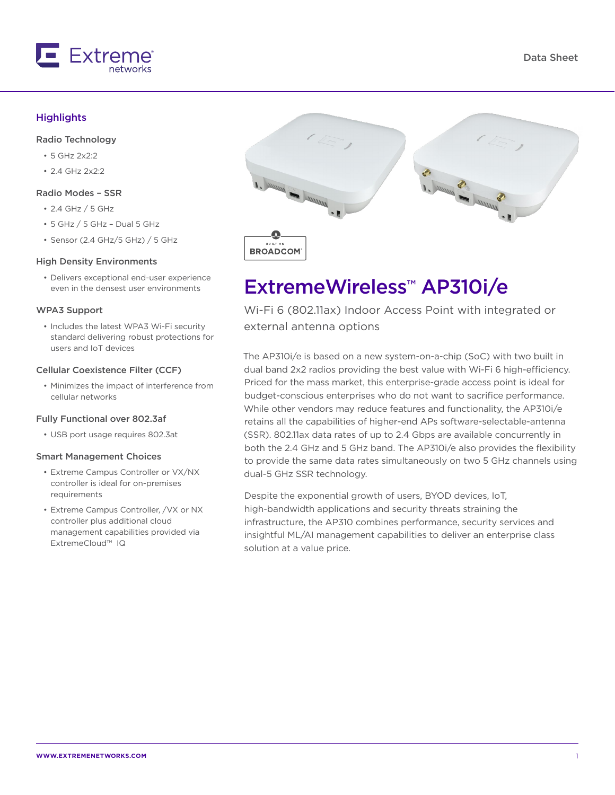

### Data Sheet

### **Highlights**

#### Radio Technology

- 5 GHz 2x2:2
- $2.4$  GHz  $2x2:2$

#### Radio Modes – SSR

- 2.4 GHz / 5 GHz
- 5 GHz / 5 GHz Dual 5 GHz
- Sensor (2.4 GHz/5 GHz) / 5 GHz

#### High Density Environments

• Delivers exceptional end-user experience even in the densest user environments

#### WPA3 Support

• Includes the latest WPA3 Wi-Fi security standard delivering robust protections for users and IoT devices

#### Cellular Coexistence Filter (CCF)

• Minimizes the impact of interference from cellular networks

#### Fully Functional over 802.3af

• USB port usage requires 802.3at

#### Smart Management Choices

- Extreme Campus Controller or VX/NX controller is ideal for on-premises requirements
- Extreme Campus Controller, /VX or NX controller plus additional cloud management capabilities provided via ExtremeCloud™ IQ



# ExtremeWireless™ AP310i/e

Wi-Fi 6 (802.11ax) Indoor Access Point with integrated or external antenna options

The AP310i/e is based on a new system-on-a-chip (SoC) with two built in dual band 2x2 radios providing the best value with Wi-Fi 6 high-efficiency. Priced for the mass market, this enterprise-grade access point is ideal for budget-conscious enterprises who do not want to sacrifice performance. While other vendors may reduce features and functionality, the AP310i/e retains all the capabilities of higher-end APs software-selectable-antenna (SSR). 802.11ax data rates of up to 2.4 Gbps are available concurrently in both the 2.4 GHz and 5 GHz band. The AP310i/e also provides the flexibility to provide the same data rates simultaneously on two 5 GHz channels using dual-5 GHz SSR technology.

Despite the exponential growth of users, BYOD devices, IoT, high-bandwidth applications and security threats straining the infrastructure, the AP310 combines performance, security services and insightful ML/AI management capabilities to deliver an enterprise class solution at a value price.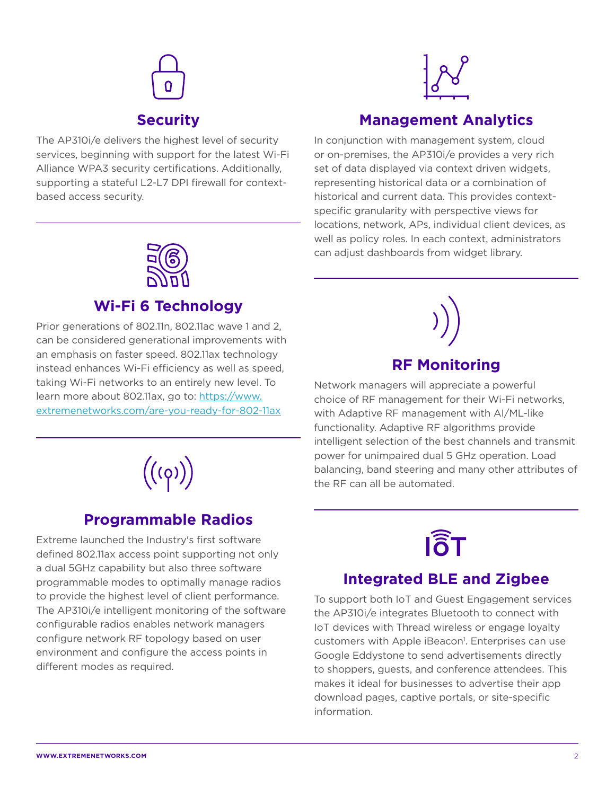

The AP310i/e delivers the highest level of security services, beginning with support for the latest Wi-Fi Alliance WPA3 security certifications. Additionally, supporting a stateful L2-L7 DPI firewall for contextbased access security.



# **Management Analytics**

In conjunction with management system, cloud or on-premises, the AP310i/e provides a very rich set of data displayed via context driven widgets, representing historical data or a combination of historical and current data. This provides contextspecific granularity with perspective views for locations, network, APs, individual client devices, as well as policy roles. In each context, administrators can adjust dashboards from widget library.



# **Wi-Fi 6 Technology**

Prior generations of 802.11n, 802.11ac wave 1 and 2, can be considered generational improvements with an emphasis on faster speed. 802.11ax technology instead enhances Wi-Fi efficiency as well as speed, taking Wi-Fi networks to an entirely new level. To learn more about 802.11ax, go to: https://www. extremenetworks.com/are-you-ready-for-802-11ax



# **Programmable Radios**

Extreme launched the Industry's first software defined 802.11ax access point supporting not only a dual 5GHz capability but also three software programmable modes to optimally manage radios to provide the highest level of client performance. The AP310i/e intelligent monitoring of the software configurable radios enables network managers configure network RF topology based on user environment and configure the access points in different modes as required.



Network managers will appreciate a powerful choice of RF management for their Wi-Fi networks, with Adaptive RF management with AI/ML-like functionality. Adaptive RF algorithms provide intelligent selection of the best channels and transmit power for unimpaired dual 5 GHz operation. Load balancing, band steering and many other attributes of the RF can all be automated.



# **Integrated BLE and Zigbee**

To support both IoT and Guest Engagement services the AP310i/e integrates Bluetooth to connect with IoT devices with Thread wireless or engage loyalty customers with Apple iBeacon<sup>1</sup>. Enterprises can use Google Eddystone to send advertisements directly to shoppers, guests, and conference attendees. This makes it ideal for businesses to advertise their app download pages, captive portals, or site-specific information.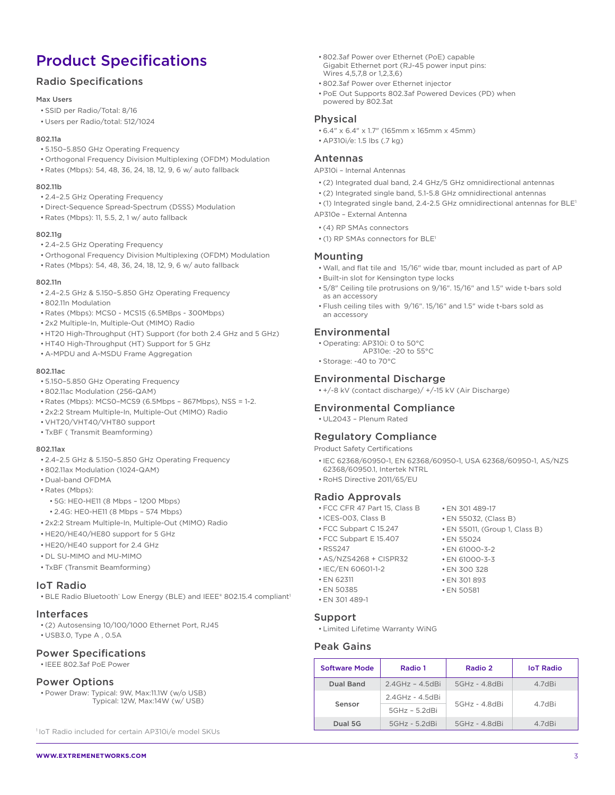# Product Specifications

# Radio Specifications

#### Max Users

- SSID per Radio/Total: 8/16
- Users per Radio/total: 512/1024

#### 802.11a

- 5.150–5.850 GHz Operating Frequency
- Orthogonal Frequency Division Multiplexing (OFDM) Modulation
- Rates (Mbps): 54, 48, 36, 24, 18, 12, 9, 6 w/ auto fallback

#### 802.11b

- 2.4–2.5 GHz Operating Frequency
- Direct-Sequence Spread-Spectrum (DSSS) Modulation
- Rates (Mbps): 11, 5.5, 2, 1 w/ auto fallback

#### 802.11g

- 2.4–2.5 GHz Operating Frequency
- Orthogonal Frequency Division Multiplexing (OFDM) Modulation
- Rates (Mbps): 54, 48, 36, 24, 18, 12, 9, 6 w/ auto fallback

#### 802.11n

- 2.4–2.5 GHz & 5.150–5.850 GHz Operating Frequency
- 802.11n Modulation
- Rates (Mbps): MCS0 MCS15 (6.5MBps 300Mbps)
- 2x2 Multiple-In, Multiple-Out (MIMO) Radio
- HT20 High-Throughput (HT) Support (for both 2.4 GHz and 5 GHz)
- HT40 High-Throughput (HT) Support for 5 GHz
- A-MPDU and A-MSDU Frame Aggregation

#### 802.11ac

- 5.150–5.850 GHz Operating Frequency
- 802.11ac Modulation (256-QAM)
- Rates (Mbps): MCS0–MCS9 (6.5Mbps 867Mbps), NSS = 1-2.
- 2x2:2 Stream Multiple-In, Multiple-Out (MIMO) Radio
- VHT20/VHT40/VHT80 support
- TxBF ( Transmit Beamforming)

#### 802.11ax

- 2.4–2.5 GHz & 5.150–5.850 GHz Operating Frequency
- 802.11ax Modulation (1024-QAM)
- Dual-band OFDMA
- Rates (Mbps):
	- 5G: HE0-HE11 (8 Mbps 1200 Mbps)
	- 2.4G: HE0-HE11 (8 Mbps 574 Mbps)
- 2x2:2 Stream Multiple-In, Multiple-Out (MIMO) Radio
- HE20/HE40/HE80 support for 5 GHz
- HE20/HE40 support for 2.4 GHz
- DL SU-MIMO and MU-MIMO
- TxBF (Transmit Beamforming)

#### IoT Radio

• BLE Radio Bluetooth' Low Energy (BLE) and IEEE® 802.15.4 compliant<sup>1</sup>

#### Interfaces

- (2) Autosensing 10/100/1000 Ethernet Port, RJ45
- USB3.0, Type A , 0.5A

### Power Specifications

• IEEE 802.3af PoE Power

#### Power Options

• Power Draw: Typical: 9W, Max:11.1W (w/o USB) Typical: 12W, Max:14W (w/ USB)

1IoT Radio included for certain AP310i/e model SKUs

- 802.3af Power over Ethernet (PoE) capable Gigabit Ethernet port (RJ-45 power input pins: Wires 4,5,7,8 or 1,2,3,6)
- 802.3af Power over Ethernet injector
- PoE Out Supports 802.3af Powered Devices (PD) when powered by 802.3at

### Physical

• 6.4" x 6.4" x 1.7" (165mm x 165mm x 45mm)

# Antennas

AP310i – Internal Antennas

• AP310i/e: 1.5 lbs (.7 kg)

- (2) Integrated dual band, 2.4 GHz/5 GHz omnidirectional antennas
- (2) Integrated single band, 5.1-5.8 GHz omnidirectional antennas
- (1) Integrated single band, 2.4-2.5 GHz omnidirectional antennas for BLE1 AP310e – External Antenna
- (4) RP SMAs connectors
- (1) RP SMAs connectors for BLE1

### Mounting

- Wall, and flat tile and 15/16" wide tbar, mount included as part of AP • Built-in slot for Kensington type locks
- 5/8" Ceiling tile protrusions on 9/16". 15/16" and 1.5" wide t-bars sold as an accessory
- Flush ceiling tiles with 9/16". 15/16" and 1.5" wide t-bars sold as an accessory

#### Environmental

- Operating: AP310i: 0 to 50°C
- AP310e: -20 to 55°C • Storage: -40 to 70°C

# Environmental Discharge

• +/-8 kV (contact discharge)/ +/-15 kV (Air Discharge)

### Environmental Compliance

• UL2043 – Plenum Rated

#### Regulatory Compliance

Product Safety Certifications

- IEC 62368/60950-1, EN 62368/60950-1, USA 62368/60950-1, AS/NZS 62368/60950.1, Intertek NTRL
- RoHS Directive 2011/65/EU

#### Radio Approvals

- FCC CFR 47 Part 15, Class B
- ICES-003, Class B • FCC Subpart C 15.247
- EN 55011, (Group 1, Class B)
- FCC Subpart E 15.407
- RSS247
- AS/NZS4268 + CISPR32
- IEC/EN 60601-1-2
- EN 62311 • EN 50385
- EN 301 489-1

#### Support

• Limited Lifetime Warranty WiNG

### Peak Gains

| <b>Software Mode</b> | Radio 1               | Radio 2         | <b>IoT Radio</b> |
|----------------------|-----------------------|-----------------|------------------|
| Dual Band            | $2.4$ GHz - $4.5$ dBi | $5GHz - 4.8dBi$ | 4.7dBi           |
| Sensor               | 2.4GHz - 4.5dBi       | 5GHz - 4.8dBi   | 4.7dBi           |
|                      | $5GHz - 5.2dBi$       |                 |                  |
| Dual 5G              | $5GHz - 5.2dBi$       | $5GHz - 4.8dBi$ | 4.7dBi           |

• EN 55024

• EN 301 489-17 • EN 55032, (Class B)

• EN 61000-3-2

• EN 301 893 • EN 50581

• EN 61000-3-3 • EN 300 328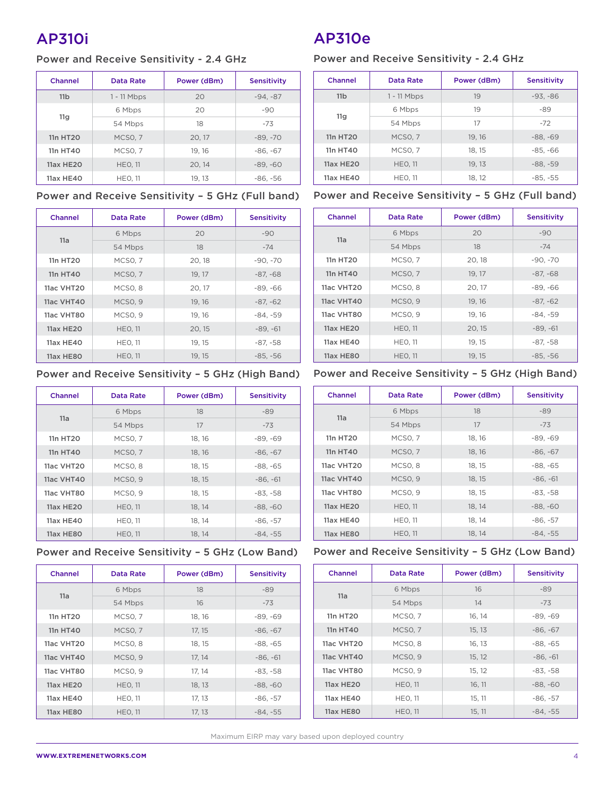# AP310i

# Power and Receive Sensitivity - 2.4 GHz

| Channel          | Data Rate      | Power (dBm) | <b>Sensitivity</b> |
|------------------|----------------|-------------|--------------------|
| 11 <sub>b</sub>  | $1 - 11$ Mbps  | 20          | $-94, -87$         |
|                  | 6 Mbps         | 20          | $-90$              |
| 11g              | 54 Mbps        | 18          | $-73$              |
| 11n HT20         | <b>MCSO. 7</b> | 20, 17      | $-89. -70$         |
| 11n HT40         | MCSO, 7        | 19, 16      | $-86, -67$         |
| <b>11ax HE20</b> | <b>HEO. 11</b> | 20, 14      | $-89, -60$         |
| 11ax HE40        | <b>HEO. 11</b> | 19.13       | $-86, -56$         |

| Channel           | Data Rate           | Power (dBm) | <b>Sensitivity</b> |
|-------------------|---------------------|-------------|--------------------|
| 11a               | 6 Mbps              | 20          | $-90$              |
|                   | 54 Mbps             | 18          | $-74$              |
| 11n HT20          | <b>MCSO, 7</b>      | 20, 18      | $-90, -70$         |
| 11n HT40          | <b>MCSO, 7</b>      | 19, 17      | $-87. -68$         |
| 11ac VHT20        | MCSO <sub>, 8</sub> | 20, 17      | $-89, -66$         |
| <b>11ac VHT40</b> | MCSO <sub>, 9</sub> | 19, 16      | $-87, -62$         |
| 11ac VHT80        | MCSO <sub>.9</sub>  | 19, 16      | $-84, -59$         |
| <b>11ax HE20</b>  | <b>HEO, 11</b>      | 20, 15      | $-89, -61$         |
| 11ax HE40         | <b>HEO, 11</b>      | 19.15       | $-87, -58$         |
| 11ax HE80         | <b>HEO, 11</b>      | 19, 15      | $-85, -56$         |

# Power and Receive Sensitivity – 5 GHz (High Band)

| Channel          | Data Rate           | Power (dBm) | <b>Sensitivity</b> |
|------------------|---------------------|-------------|--------------------|
| 11a              | 6 Mbps              | 18          | $-89$              |
|                  | 54 Mbps             | 17          | $-73$              |
| 11n HT20         | <b>MCSO, 7</b>      | 18, 16      | $-89, -69$         |
| 11n HT40         | MCSO <sub>, 7</sub> | 18, 16      | $-86, -67$         |
| 11ac VHT20       | MCSO <sub>, 8</sub> | 18, 15      | $-88, -65$         |
| 11ac VHT40       | MCSO <sub>.9</sub>  | 18, 15      | $-86. -61$         |
| 11ac VHT80       | MCSO <sub>.9</sub>  | 18.15       | $-83. -58$         |
| <b>11ax HE20</b> | <b>HEO. 11</b>      | 18, 14      | $-88, -60$         |
| 11ax HE40        | <b>HEO. 11</b>      | 18, 14      | $-86, -57$         |
| 11ax HE80        | <b>HEO, 11</b>      | 18, 14      | $-84. -55$         |

# Power and Receive Sensitivity – 5 GHz (Low Band) Power and Receive Sensitivity – 5 GHz (Low Band)

| Channel          | Data Rate           | Power (dBm) | <b>Sensitivity</b> |
|------------------|---------------------|-------------|--------------------|
|                  | 6 Mbps              | 18          | -89                |
| 11a              | 54 Mbps             | 16          | $-73$              |
| 11n HT20         | <b>MCSO, 7</b>      | 18, 16      | $-89, -69$         |
| 11n HT40         | MCSO <sub>, 7</sub> | 17, 15      | $-86, -67$         |
| 11ac VHT20       | MCSO <sub>.</sub> 8 | 18, 15      | $-88, -65$         |
| 11ac VHT40       | MCSO <sub>, 9</sub> | 17, 14      | $-86, -61$         |
| 11ac VHT80       | MCSO <sub>.9</sub>  | 17.14       | $-83. -58$         |
| <b>11ax HE20</b> | <b>HEO, 11</b>      | 18, 13      | $-88, -60$         |
| 11ax HE40        | <b>HEO, 11</b>      | 17, 13      | $-86, -57$         |
| <b>11ax HE80</b> | <b>HEO, 11</b>      | 17, 13      | $-84, -55$         |

# AP310e

# Power and Receive Sensitivity - 2.4 GHz

| Channel          | Data Rate          | Power (dBm) | <b>Sensitivity</b> |
|------------------|--------------------|-------------|--------------------|
| 11 <sub>b</sub>  | $1 - 11$ Mbps      | 19          | $-93, -86$         |
| 11g              | 6 Mbps             | 19          | $-89$              |
|                  | 54 Mbps            | 17          | $-72$              |
| 11n HT20         | <b>MCSO. 7</b>     | 19, 16      | $-88, -69$         |
| 11n HT40         | MCSO <sub>.7</sub> | 18.15       | $-85. -66$         |
| <b>11ax HE20</b> | <b>HEO, 11</b>     | 19, 13      | $-88, -59$         |
| 11ax HE40        | <b>HEO, 11</b>     | 18, 12      | $-85, -55$         |

### Power and Receive Sensitivity – 5 GHz (Full band) Power and Receive Sensitivity – 5 GHz (Full band)

| Channel    | Data Rate           | Power (dBm) | <b>Sensitivity</b> |
|------------|---------------------|-------------|--------------------|
| 11a        | 6 Mbps              | 20          | $-90$              |
|            | 54 Mbps             | 18          | $-74$              |
| 11n HT20   | <b>MCSO, 7</b>      | 20, 18      | $-90. -70$         |
| 11n HT40   | <b>MCSO, 7</b>      | 19, 17      | $-87. -68$         |
| 11ac VHT20 | MCSO <sub>.</sub> 8 | 20, 17      | $-89. -66$         |
| 11ac VHT40 | MCSO <sub>.9</sub>  | 19, 16      | $-87, -62$         |
| 11ac VHT80 | MCSO <sub>, 9</sub> | 19, 16      | $-84, -59$         |
| 11ax HF20  | <b>HEO, 11</b>      | 20, 15      | $-89, -61$         |
| 11ax HE40  | <b>HEO, 11</b>      | 19, 15      | -87, -58           |
| 11ax HE80  | <b>HEO. 11</b>      | 19.15       | $-85, -56$         |

# Power and Receive Sensitivity – 5 GHz (High Band)

| Channel          | Data Rate           | Power (dBm) | <b>Sensitivity</b> |
|------------------|---------------------|-------------|--------------------|
| 11a              | 6 Mbps              | 18          | $-89$              |
|                  | 54 Mbps             | 17          | $-73$              |
| 11n HT20         | MCSO, 7             | 18, 16      | $-89, -69$         |
| 11n HT40         | <b>MCSO, 7</b>      | 18, 16      | $-86, -67$         |
| 11ac VHT20       | MCSO <sub>, 8</sub> | 18, 15      | $-88. -65$         |
| 11ac VHT40       | MCSO <sub>, 9</sub> | 18, 15      | $-86, -61$         |
| 11ac VHT80       | MCSO <sub>.9</sub>  | 18, 15      | $-83. -58$         |
| <b>11ax HE20</b> | <b>HEO, 11</b>      | 18, 14      | $-88, -60$         |
| 11ax HE40        | <b>HEO, 11</b>      | 18, 14      | $-86, -57$         |
| 11ax HE80        | <b>HEO. 11</b>      | 18.14       | $-84. -55$         |

| Channel           | Data Rate           | Power (dBm) | <b>Sensitivity</b> |
|-------------------|---------------------|-------------|--------------------|
|                   | 6 Mbps              | 16          | $-89$              |
| 11a               | 54 Mbps             | 14          | $-73$              |
| 11n HT20          | MCSO, 7             | 16, 14      | $-89, -69$         |
| 11n HT40          | <b>MCSO, 7</b>      | 15, 13      | $-86, -67$         |
| 11ac VHT20        | MCSO <sub>.</sub> 8 | 16, 13      | $-88, -65$         |
| <b>11ac VHT40</b> | MCSO <sub>.9</sub>  | 15, 12      | $-86. -61$         |
| 11ac VHT80        | MCSO <sub>, 9</sub> | 15, 12      | $-83, -58$         |
| 11ax HE20         | <b>HEO, 11</b>      | 16, 11      | $-88, -60$         |
| 11ax HE40         | <b>HEO, 11</b>      | 15, 11      | $-86, -57$         |
| 11ax HE80         | <b>HEO. 11</b>      | 15.11       | $-84. -55$         |

Maximum EIRP may vary based upon deployed country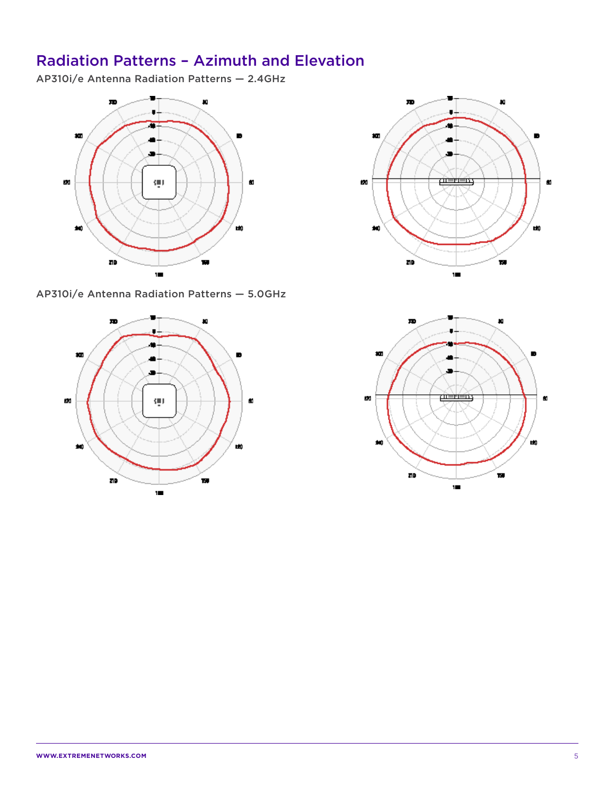# Radiation Patterns – Azimuth and Elevation

AP310i/e Antenna Radiation Patterns — 2.4GHz



AP310i/e Antenna Radiation Patterns — 5.0GHz